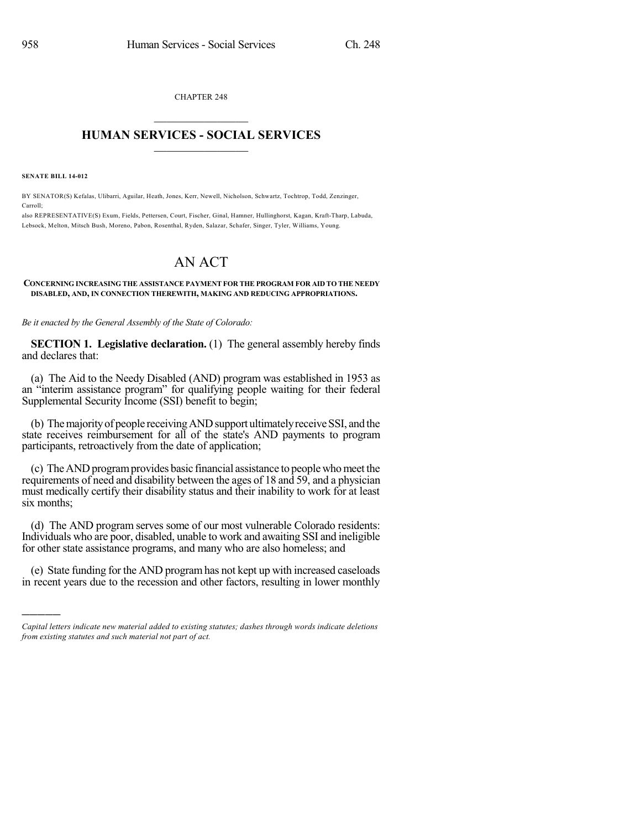CHAPTER 248  $\mathcal{L}_\text{max}$  . The set of the set of the set of the set of the set of the set of the set of the set of the set of the set of the set of the set of the set of the set of the set of the set of the set of the set of the set

## **HUMAN SERVICES - SOCIAL SERVICES**  $\frac{1}{2}$  ,  $\frac{1}{2}$  ,  $\frac{1}{2}$  ,  $\frac{1}{2}$  ,  $\frac{1}{2}$  ,  $\frac{1}{2}$

**SENATE BILL 14-012**

)))))

BY SENATOR(S) Kefalas, Ulibarri, Aguilar, Heath, Jones, Kerr, Newell, Nicholson, Schwartz, Tochtrop, Todd, Zenzinger, Carroll;

also REPRESENTATIVE(S) Exum, Fields, Pettersen, Court, Fischer, Ginal, Hamner, Hullinghorst, Kagan, Kraft-Tharp, Labuda, Lebsock, Melton, Mitsch Bush, Moreno, Pabon, Rosenthal, Ryden, Salazar, Schafer, Singer, Tyler, Williams, Young.

## AN ACT

## **CONCERNING INCREASING THE ASSISTANCE PAYMENT FOR THE PROGRAM FOR AID TO THE NEEDY DISABLED, AND, IN CONNECTION THEREWITH, MAKING AND REDUCING APPROPRIATIONS.**

*Be it enacted by the General Assembly of the State of Colorado:*

**SECTION 1. Legislative declaration.** (1) The general assembly hereby finds and declares that:

(a) The Aid to the Needy Disabled (AND) program was established in 1953 as an "interim assistance program" for qualifying people waiting for their federal Supplemental Security Income (SSI) benefit to begin;

(b) The majority of people receiving AND support ultimately receive SSI, and the state receives reimbursement for all of the state's AND payments to program participants, retroactively from the date of application;

(c) TheANDprogramprovides basic financial assistance to people whomeet the requirements of need and disability between the ages of 18 and 59, and a physician must medically certify their disability status and their inability to work for at least six months;

(d) The AND program serves some of our most vulnerable Colorado residents: Individuals who are poor, disabled, unable to work and awaiting SSI and ineligible for other state assistance programs, and many who are also homeless; and

(e) State funding for the AND programhas not kept up with increased caseloads in recent years due to the recession and other factors, resulting in lower monthly

*Capital letters indicate new material added to existing statutes; dashes through words indicate deletions from existing statutes and such material not part of act.*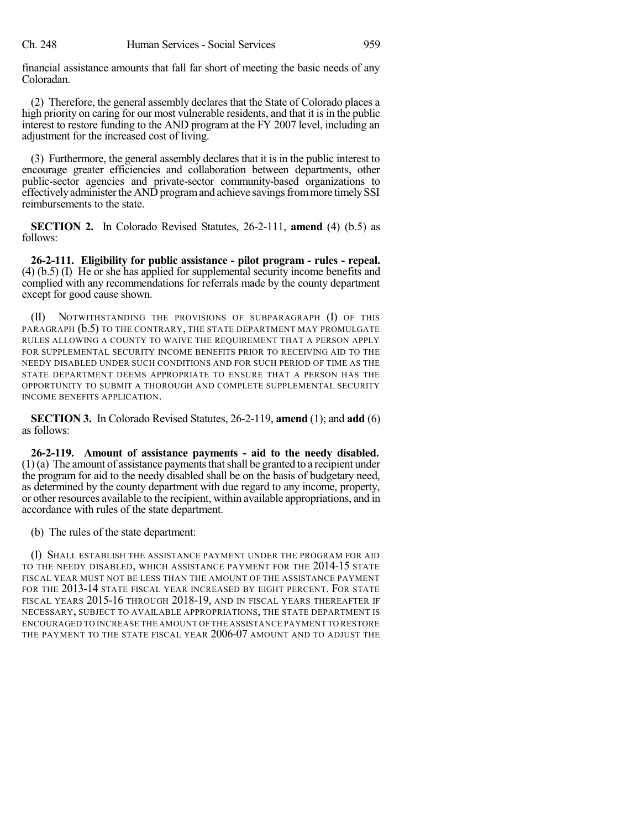financial assistance amounts that fall far short of meeting the basic needs of any Coloradan.

(2) Therefore, the general assembly declares that the State of Colorado places a high priority on caring for our most vulnerable residents, and that it is in the public interest to restore funding to the AND program at the FY 2007 level, including an adjustment for the increased cost of living.

(3) Furthermore, the general assembly declares that it is in the public interest to encourage greater efficiencies and collaboration between departments, other public-sector agencies and private-sector community-based organizations to effectively administer the AND program and achieve savings from more timely SSI reimbursements to the state.

**SECTION 2.** In Colorado Revised Statutes, 26-2-111, **amend** (4) (b.5) as follows:

**26-2-111. Eligibility for public assistance - pilot program - rules - repeal.** (4) (b.5) (I) He or she has applied for supplemental security income benefits and complied with any recommendations for referrals made by the county department except for good cause shown.

(II) NOTWITHSTANDING THE PROVISIONS OF SUBPARAGRAPH (I) OF THIS PARAGRAPH (b.5) TO THE CONTRARY, THE STATE DEPARTMENT MAY PROMULGATE RULES ALLOWING A COUNTY TO WAIVE THE REQUIREMENT THAT A PERSON APPLY FOR SUPPLEMENTAL SECURITY INCOME BENEFITS PRIOR TO RECEIVING AID TO THE NEEDY DISABLED UNDER SUCH CONDITIONS AND FOR SUCH PERIOD OF TIME AS THE STATE DEPARTMENT DEEMS APPROPRIATE TO ENSURE THAT A PERSON HAS THE OPPORTUNITY TO SUBMIT A THOROUGH AND COMPLETE SUPPLEMENTAL SECURITY INCOME BENEFITS APPLICATION.

**SECTION 3.** In Colorado Revised Statutes, 26-2-119, **amend** (1); and **add** (6) as follows:

**26-2-119. Amount of assistance payments - aid to the needy disabled.**  $(1)(a)$  The amount of assistance payments that shall be granted to a recipient under the program for aid to the needy disabled shall be on the basis of budgetary need, as determined by the county department with due regard to any income, property, or other resources available to the recipient, within available appropriations, and in accordance with rules of the state department.

(b) The rules of the state department:

(I) SHALL ESTABLISH THE ASSISTANCE PAYMENT UNDER THE PROGRAM FOR AID TO THE NEEDY DISABLED, WHICH ASSISTANCE PAYMENT FOR THE 2014-15 STATE FISCAL YEAR MUST NOT BE LESS THAN THE AMOUNT OF THE ASSISTANCE PAYMENT FOR THE 2013-14 STATE FISCAL YEAR INCREASED BY EIGHT PERCENT. FOR STATE FISCAL YEARS 2015-16 THROUGH 2018-19, AND IN FISCAL YEARS THEREAFTER IF NECESSARY, SUBJECT TO AVAILABLE APPROPRIATIONS, THE STATE DEPARTMENT IS ENCOURAGED TO INCREASE THE AMOUNT OFTHE ASSISTANCE PAYMENT TO RESTORE THE PAYMENT TO THE STATE FISCAL YEAR 2006-07 AMOUNT AND TO ADJUST THE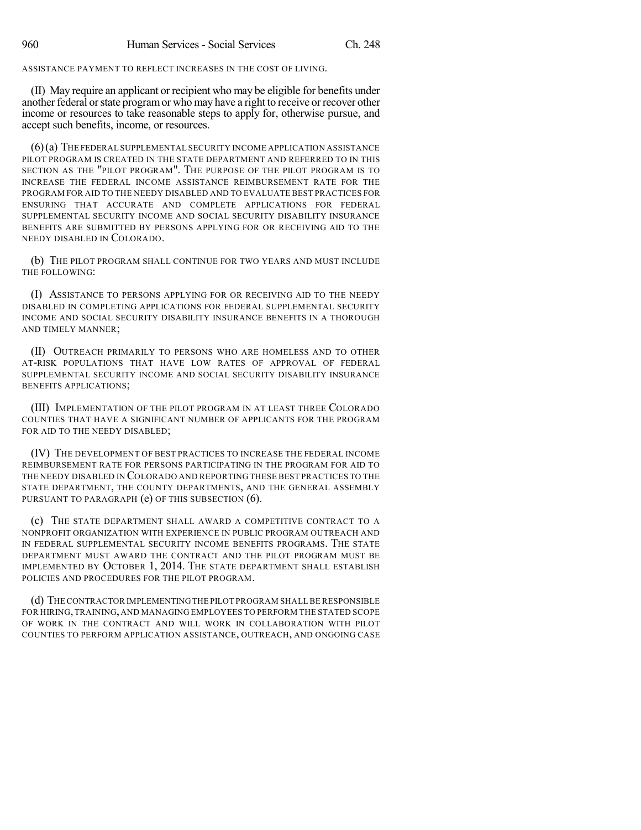ASSISTANCE PAYMENT TO REFLECT INCREASES IN THE COST OF LIVING.

(II) May require an applicant or recipient who may be eligible for benefits under another federal or state program or who may have a right to receive or recover other income or resources to take reasonable steps to apply for, otherwise pursue, and accept such benefits, income, or resources.

(6)(a) THE FEDERAL SUPPLEMENTAL SECURITY INCOME APPLICATION ASSISTANCE PILOT PROGRAM IS CREATED IN THE STATE DEPARTMENT AND REFERRED TO IN THIS SECTION AS THE "PILOT PROGRAM". THE PURPOSE OF THE PILOT PROGRAM IS TO INCREASE THE FEDERAL INCOME ASSISTANCE REIMBURSEMENT RATE FOR THE PROGRAM FOR AID TO THE NEEDY DISABLED AND TO EVALUATE BEST PRACTICES FOR ENSURING THAT ACCURATE AND COMPLETE APPLICATIONS FOR FEDERAL SUPPLEMENTAL SECURITY INCOME AND SOCIAL SECURITY DISABILITY INSURANCE BENEFITS ARE SUBMITTED BY PERSONS APPLYING FOR OR RECEIVING AID TO THE NEEDY DISABLED IN COLORADO.

(b) THE PILOT PROGRAM SHALL CONTINUE FOR TWO YEARS AND MUST INCLUDE THE FOLLOWING:

(I) ASSISTANCE TO PERSONS APPLYING FOR OR RECEIVING AID TO THE NEEDY DISABLED IN COMPLETING APPLICATIONS FOR FEDERAL SUPPLEMENTAL SECURITY INCOME AND SOCIAL SECURITY DISABILITY INSURANCE BENEFITS IN A THOROUGH AND TIMELY MANNER;

(II) OUTREACH PRIMARILY TO PERSONS WHO ARE HOMELESS AND TO OTHER AT-RISK POPULATIONS THAT HAVE LOW RATES OF APPROVAL OF FEDERAL SUPPLEMENTAL SECURITY INCOME AND SOCIAL SECURITY DISABILITY INSURANCE BENEFITS APPLICATIONS;

(III) IMPLEMENTATION OF THE PILOT PROGRAM IN AT LEAST THREE COLORADO COUNTIES THAT HAVE A SIGNIFICANT NUMBER OF APPLICANTS FOR THE PROGRAM FOR AID TO THE NEEDY DISABLED;

(IV) THE DEVELOPMENT OF BEST PRACTICES TO INCREASE THE FEDERAL INCOME REIMBURSEMENT RATE FOR PERSONS PARTICIPATING IN THE PROGRAM FOR AID TO THE NEEDY DISABLED IN COLORADO AND REPORTING THESE BEST PRACTICES TO THE STATE DEPARTMENT, THE COUNTY DEPARTMENTS, AND THE GENERAL ASSEMBLY PURSUANT TO PARAGRAPH (e) OF THIS SUBSECTION (6).

(c) THE STATE DEPARTMENT SHALL AWARD A COMPETITIVE CONTRACT TO A NONPROFIT ORGANIZATION WITH EXPERIENCE IN PUBLIC PROGRAM OUTREACH AND IN FEDERAL SUPPLEMENTAL SECURITY INCOME BENEFITS PROGRAMS. THE STATE DEPARTMENT MUST AWARD THE CONTRACT AND THE PILOT PROGRAM MUST BE IMPLEMENTED BY OCTOBER 1, 2014. THE STATE DEPARTMENT SHALL ESTABLISH POLICIES AND PROCEDURES FOR THE PILOT PROGRAM.

(d) THE CONTRACTOR IMPLEMENTINGTHE PILOT PROGRAM SHALL BE RESPONSIBLE FOR HIRING,TRAINING, AND MANAGING EMPLOYEES TO PERFORM THE STATED SCOPE OF WORK IN THE CONTRACT AND WILL WORK IN COLLABORATION WITH PILOT COUNTIES TO PERFORM APPLICATION ASSISTANCE, OUTREACH, AND ONGOING CASE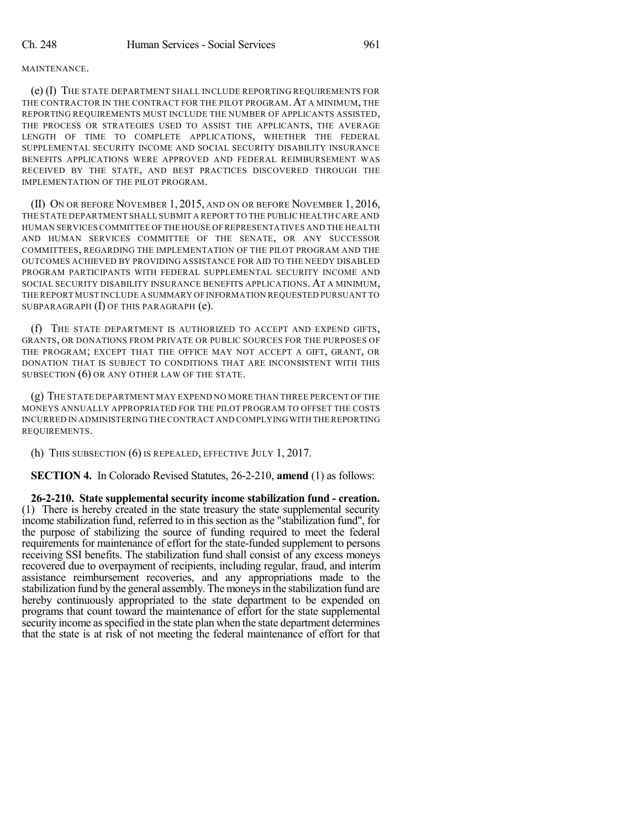(e) (I) THE STATE DEPARTMENT SHALL INCLUDE REPORTING REQUIREMENTS FOR THE CONTRACTOR IN THE CONTRACT FOR THE PILOT PROGRAM. AT A MINIMUM, THE REPORTING REQUIREMENTS MUST INCLUDE THE NUMBER OF APPLICANTS ASSISTED, THE PROCESS OR STRATEGIES USED TO ASSIST THE APPLICANTS, THE AVERAGE LENGTH OF TIME TO COMPLETE APPLICATIONS, WHETHER THE FEDERAL SUPPLEMENTAL SECURITY INCOME AND SOCIAL SECURITY DISABILITY INSURANCE BENEFITS APPLICATIONS WERE APPROVED AND FEDERAL REIMBURSEMENT WAS RECEIVED BY THE STATE, AND BEST PRACTICES DISCOVERED THROUGH THE IMPLEMENTATION OF THE PILOT PROGRAM.

(II) ON OR BEFORE NOVEMBER 1, 2015, AND ON OR BEFORE NOVEMBER 1, 2016, THE STATE DEPARTMENT SHALL SUBMIT A REPORT TO THE PUBLIC HEALTH CARE AND HUMAN SERVICES COMMITTEE OFTHE HOUSE OF REPRESENTATIVES AND THE HEALTH AND HUMAN SERVICES COMMITTEE OF THE SENATE, OR ANY SUCCESSOR COMMITTEES, REGARDING THE IMPLEMENTATION OF THE PILOT PROGRAM AND THE OUTCOMES ACHIEVED BY PROVIDING ASSISTANCE FOR AID TO THE NEEDY DISABLED PROGRAM PARTICIPANTS WITH FEDERAL SUPPLEMENTAL SECURITY INCOME AND SOCIAL SECURITY DISABILITY INSURANCE BENEFITS APPLICATIONS. AT A MINIMUM, THE REPORT MUST INCLUDE A SUMMARY OFINFORMATION REQUESTED PURSUANT TO SUBPARAGRAPH (I) OF THIS PARAGRAPH (e).

(f) THE STATE DEPARTMENT IS AUTHORIZED TO ACCEPT AND EXPEND GIFTS, GRANTS, OR DONATIONS FROM PRIVATE OR PUBLIC SOURCES FOR THE PURPOSES OF THE PROGRAM; EXCEPT THAT THE OFFICE MAY NOT ACCEPT A GIFT, GRANT, OR DONATION THAT IS SUBJECT TO CONDITIONS THAT ARE INCONSISTENT WITH THIS SUBSECTION (6) OR ANY OTHER LAW OF THE STATE.

(g) THE STATE DEPARTMENT MAY EXPEND NO MORE THAN THREE PERCENT OF THE MONEYS ANNUALLY APPROPRIATED FOR THE PILOT PROGRAM TO OFFSET THE COSTS INCURRED IN ADMINISTERING THE CONTRACT AND COMPLYING WITH THE REPORTING REQUIREMENTS.

(h) THIS SUBSECTION (6) IS REPEALED, EFFECTIVE JULY 1, 2017.

**SECTION 4.** In Colorado Revised Statutes, 26-2-210, **amend** (1) as follows:

**26-2-210. State supplemental security income stabilization fund - creation.** (1) There is hereby created in the state treasury the state supplemental security income stabilization fund, referred to in this section as the "stabilization fund", for the purpose of stabilizing the source of funding required to meet the federal requirements for maintenance of effort for the state-funded supplement to persons receiving SSI benefits. The stabilization fund shall consist of any excess moneys recovered due to overpayment of recipients, including regular, fraud, and interim assistance reimbursement recoveries, and any appropriations made to the stabilization fund by the general assembly. The moneysin the stabilization fund are hereby continuously appropriated to the state department to be expended on programs that count toward the maintenance of effort for the state supplemental security income as specified in the state plan when the state department determines that the state is at risk of not meeting the federal maintenance of effort for that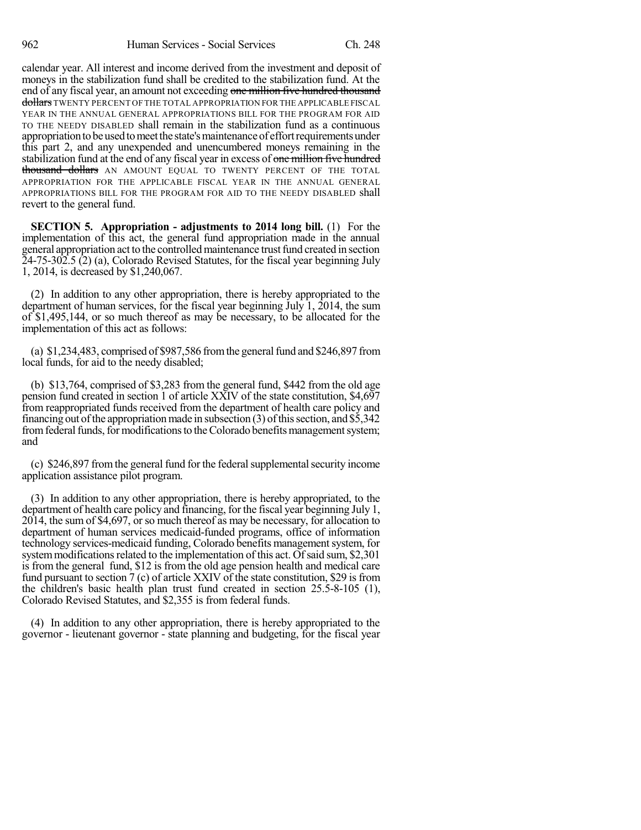calendar year. All interest and income derived from the investment and deposit of moneys in the stabilization fund shall be credited to the stabilization fund. At the end of any fiscal year, an amount not exceeding one million five hundred thousand dollars TWENTY PERCENT OF THE TOTAL APPROPRIATION FOR THE APPLICABLE FISCAL YEAR IN THE ANNUAL GENERAL APPROPRIATIONS BILL FOR THE PROGRAM FOR AID TO THE NEEDY DISABLED shall remain in the stabilization fund as a continuous appropriation to be used to meet the state's maintenance of effort requirements under this part 2, and any unexpended and unencumbered moneys remaining in the stabilization fund at the end of any fiscal year in excess of one million five hundred thousand dollars AN AMOUNT EQUAL TO TWENTY PERCENT OF THE TOTAL APPROPRIATION FOR THE APPLICABLE FISCAL YEAR IN THE ANNUAL GENERAL APPROPRIATIONS BILL FOR THE PROGRAM FOR AID TO THE NEEDY DISABLED shall revert to the general fund.

**SECTION 5. Appropriation - adjustments to 2014 long bill.** (1) For the implementation of this act, the general fund appropriation made in the annual general appropriation act to the controlled maintenance trust fund created in section 24-75-302.5 (2) (a), Colorado Revised Statutes, for the fiscal year beginning July 1, 2014, is decreased by \$1,240,067.

(2) In addition to any other appropriation, there is hereby appropriated to the department of human services, for the fiscal year beginning July 1, 2014, the sum of \$1,495,144, or so much thereof as may be necessary, to be allocated for the implementation of this act as follows:

(a)  $$1,234,483$ , comprised of  $$987,586$  from the general fund and  $$246,897$  from local funds, for aid to the needy disabled;

(b) \$13,764, comprised of \$3,283 from the general fund, \$442 from the old age pension fund created in section 1 of article XXIV of the state constitution, \$4,697 from reappropriated funds received from the department of health care policy and financing out of the appropriation made in subsection  $(3)$  of this section, and \$5,342 from federal funds, for modifications to the Colorado benefits management system; and

(c) \$246,897 from the general fund for the federal supplemental security income application assistance pilot program.

(3) In addition to any other appropriation, there is hereby appropriated, to the department of health care policy and financing, for the fiscal year beginning July 1, 2014, the sum of \$4,697, or so much thereof as may be necessary, for allocation to department of human services medicaid-funded programs, office of information technology services-medicaid funding, Colorado benefits management system, for system modifications related to the implementation of this act. Of said sum, \$2,301 is from the general fund, \$12 is from the old age pension health and medical care fund pursuant to section 7 (c) of article XXIV of the state constitution, \$29 isfrom the children's basic health plan trust fund created in section 25.5-8-105 (1), Colorado Revised Statutes, and \$2,355 is from federal funds.

(4) In addition to any other appropriation, there is hereby appropriated to the governor - lieutenant governor - state planning and budgeting, for the fiscal year